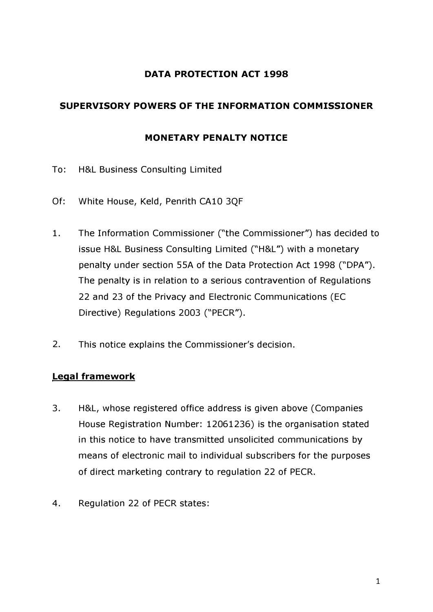# **DATA PROTECTION ACT 1998**

# **SUPERVISORY POWERS OF THE INFORMATION COMMISSIONER**

### **MONETARY PENALTY NOTICE**

- To: H&L Business Consulting Limited
- Of: White House, Keld, Penrith CA10 3QF
- 1. The Information Commissioner ("the Commissioner") has decided to issue H&L Business Consulting Limited ("H&L") with a monetary penalty under section SSA of the Data Protection Act 1998 ("DPA"). The penalty is in relation to a serious contravention of Regulations 22 and 23 of the Privacy and Electronic Communications (EC Directive) Regulations 2003 ("PECR").
- 2. This notice explains the Commissioner's decision.

# **Legal framework**

- 3. H&L, whose registered office address is given above (Companies House Registration Number: 12061236) is the organisation stated in this notice to have transmitted unsolicited communications by means of electronic mail to individual subscribers for the purposes of direct marketing contrary to regulation 22 of PECR.
- 4. Regulation 22 of PECR states: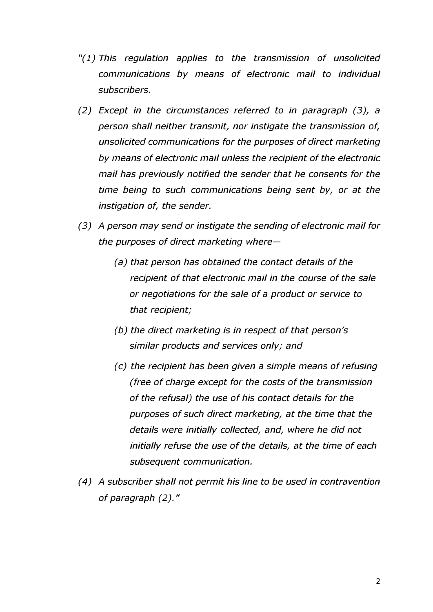- *"( 1) This regulation applies to the transmission of unsolicited communications by means of electronic mail to individual subscribers.*
- *(2) Except in the circumstances referred to in paragraph (3), a person shall neither transmit, nor instigate the transmission of, unsolicited communications for the purposes of direct marketing by means of electronic mail unless the recipient of the electronic mail has previously notified the sender that he consents for the time being to such communications being sent by, or at the instigation of, the sender.*
- *(3) A person may send or instigate the sending of electronic mail for the purposes of direct marketing where-*
	- *(a) that person has obtained the contact details of the recipient of that electronic mail in the course of the sale or negotiations for the sale of a product or service to that recipient;*
	- *(b) the direct marketing is in respect of that person's similar products and services only; and*
	- *(c) the recipient has been given a simple means of refusing (free of charge except for the costs of the transmission of the refusal) the use of his contact details for the purposes of such direct marketing, at the time that the details were initially collected, and, where he did not initially refuse the use of the details, at the time of each subsequent communication.*
- *(4) A subscriber shall not permit his line to be used in contravention of paragraph (2)."*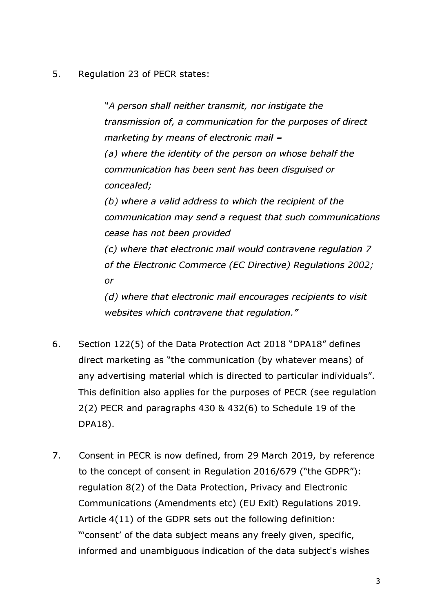**5. Regulation 23 of PECR states:** 

*"A person shall neither transmit, nor instigate the transmission of, a communication for the purposes of direct marketing by means of electronic mail (a) where the identity of the person on whose behalf the communication has been sent has been disguised or concealed; (b) where a valid address to which the recipient of the communication may send a request that such communications cease has not been provided (c) where that electronic mail would contravene regulation 7 of the Electronic Commerce (EC Directive) Regulations 2002; or (d) where that electronic mail encourages recipients to visit websites which contravene that regulation."* 

- **6. Section 122(5) of the Data Protection Act 2018 "DPA18" defines direct marketing as "the communication (by whatever means) of any advertising material which is directed to particular individuals". This definition also applies for the purposes of PECR (see regulation 2(2) PECR and paragraphs 430 & 432(6) to Schedule 19 of the DPA18).**
- **7. Consent in PECR is now defined, from 29 March 2019, by reference to the concept of consent in Regulation 2016/679 ("the GDPR"): regulation 8(2) of the Data Protection, Privacy and Electronic Communications (Amendments etc) (EU Exit) Regulations 2019. Article 4(11) of the GDPR sets out the following definition: "'consent' of the data subject means any freely given, specific, informed and unambiguous indication of the data subject's wishes**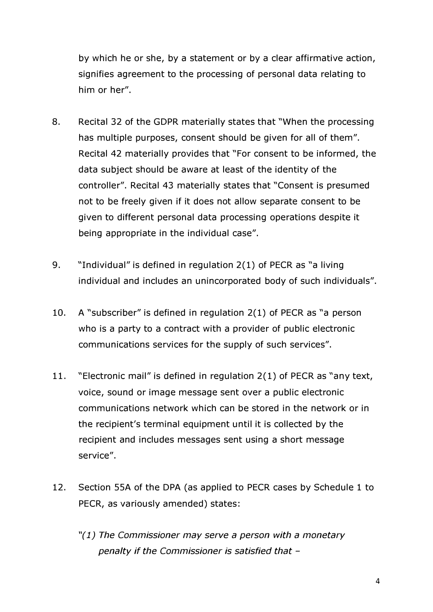**by which he or she, by a statement or by a clear affirmative action, signifies agreement to the processing of personal data relating to him or her".** 

- **8. Recital 32 of the GDPR materially states that "When the processing has multiple purposes, consent should be given for all of them". Recital 42 materially provides that "For consent to be informed, the data subject should be aware at least of the identity of the controller". Recital 43 materially states that "Consent is presumed not to be freely given if it does not allow separate consent to be given to different personal data processing operations despite it being appropriate in the individual case".**
- **9. "Individual" is defined in regulation 2(1) of PECR as "a living individual and includes an unincorporated body of such individuals".**
- **10. A "subscriber" is defined in regulation 2(1) of PECR as "a person who is a party to a contract with a provider of public electronic communications services for the supply of such services".**
- **11. "Electronic mail" is defined in regulation 2(1) of PECR as "any text, voice, sound or image message sent over a public electronic communications network which can be stored in the network or in the recipient's terminal equipment until it is collected by the recipient and includes messages sent using a short message service".**
- **12. Section SSA of the DPA (as applied to PECR cases by Schedule 1 to PECR, as variously amended) states:** 
	- *"( 1) The Commissioner may serve a person with a monetary penalty if the Commissioner is satisfied that* -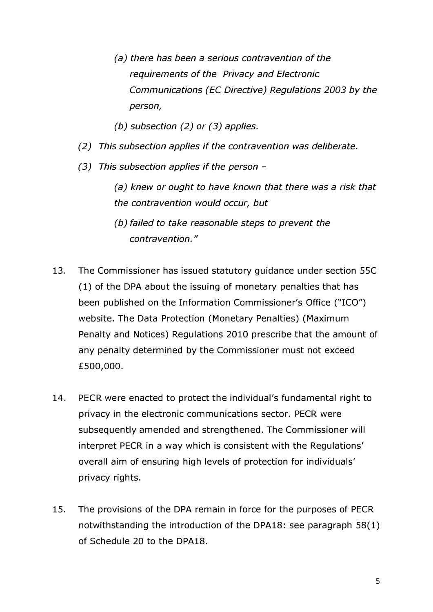- *(a) there has been a serious contravention of the requirements of the Privacy and Electronic Communications (EC Directive) Regulations 2003 by the person,*
- *(b) subsection (2) or (3) applies.*
- *(2) This subsection applies if the contravention was deliberate.*
- *(3) This subsection applies if the person* 
	- *(a) knew or ought to have known that there was a risk that the contravention would occur, but*
	- *(b) failed to take reasonable steps to prevent the contravention."*
- **13. The Commissioner has issued statutory guidance under section SSC (1) of the DPA about the issuing of monetary penalties that has been published on the Information Commissioner's Office ("ICO") website. The Data Protection (Monetary Penalties) (Maximum Penalty and Notices) Regulations 2010 prescribe that the amount of any penalty determined by the Commissioner must not exceed £500,000.**
- **14. PECR were enacted to protect the individual's fundamental right to privacy in the electronic communications sector. PECR were subsequently amended and strengthened. The Commissioner will interpret PECR in a way which is consistent with the Regulations' overall aim of ensuring high levels of protection for individuals' privacy rights.**
- **15. The provisions of the DPA remain in force for the purposes of PECR notwithstanding the introduction of the DPA18: see paragraph 58(1) of Schedule 20 to the DPA18.**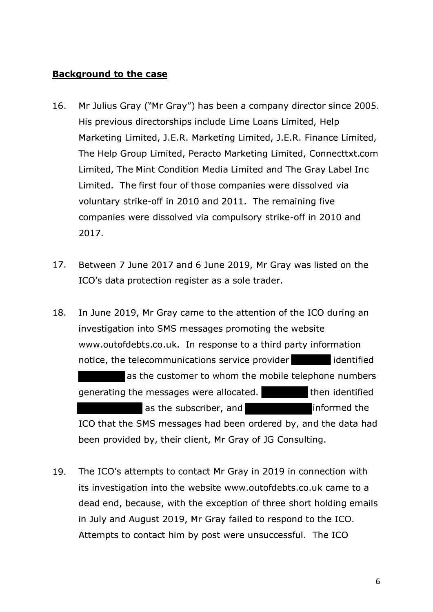## **Background to the case**

- **16. Mr Julius Gray ("Mr Gray") has been a company director since 2005. His previous directorships include Lime Loans Limited, Help Marketing Limited, J.E.R. Marketing Limited, J.E.R. Finance Limited, The Help Group Limited, Peracto Marketing Limited, [Connecttxt.com](https://Connecttxt.com) Limited, The Mint Condition Media Limited and The Gray Label Inc Limited. The first four of those companies were dissolved via voluntary strike-off in 2010 and 2011. The remaining five companies were dissolved via compulsory strike-off in 2010 and 2017.**
- **17. Between 7 June 2017 and 6 June 2019, Mr Gray was listed on the ICO's data protection register as a sole trader.**
- **18. In June 2019, Mr Gray came to the attention of the ICO during an investigation into SMS messages promoting the website <www.outofdebts.co.uk>. In response to a third party information notice, the telecommunications service provider in all identified as the customer to whom the mobile telephone numbers generating the messages were allocated.** Then identified **as the subscriber, and informed the ICO that the SMS messages had been ordered by, and the data had been provided by, their client, Mr Gray of JG Consulting.**
- **19. The ICO's attempts to contact Mr Gray in 2019 in connection with its investigation into the website <www.outofdebts.co.uk>came to a dead end, because, with the exception of three short holding emails in July and August 2019, Mr Gray failed to respond to the ICO. Attempts to contact him by post were unsuccessful. The ICO**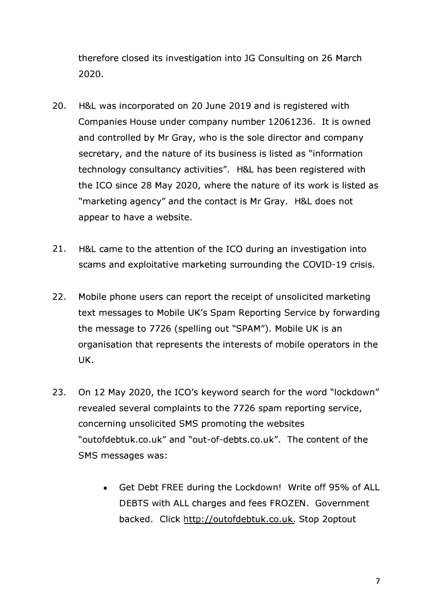**therefore closed its investigation into JG Consulting on 26 March 2020.** 

- **20. H&L was incorporated on 20 June 2019 and is registered with Companies House under company number 12061236. It is owned and controlled by Mr Gray, who is the sole director and company secretary, and the nature of its business is listed as "information technology consultancy activities". H&L has been registered with the ICO since 28 May 2020, where the nature of its work is listed as "marketing agency" and the contact is Mr Gray. H&L does not appear to have a website.**
- **21. H&L came to the attention of the ICO during an investigation into scams and exploitative marketing surrounding the COVID-19 crisis.**
- **22. Mobile phone users can report the receipt of unsolicited marketing text messages to Mobile UK's Spam Reporting Service by forwarding the message to 7726 (spelling out "SPAM"). Mobile UK is an organisation that represents the interests of mobile operators in the UK.**
- **23. On 12 May 2020, the ICO's keyword search for the word "lockdown" revealed several complaints to the 7726 spam reporting service, concerning unsolicited SMS promoting the websites ["outofdebtuk.co.uk"](https://outofdebtuk.co.uk) and "[out-of-debts.co.uk"](https://out-of-debts.co.uk). The content of the SMS messages was:** 
	- **Get Debt FREE during the Lockdown! Write off 95% of ALL DEBTS with ALL charges and fees FROZEN. Government backed. Click [http://outofdebtuk.co.uk.](http://outofdebtuk.co.uk) Stop 2optout**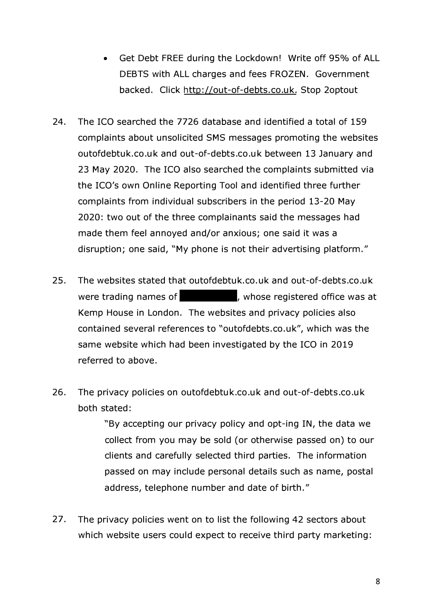- **•** Get Debt FREE during the Lockdown! Write off 95% of ALL **DEBTS with ALL charges and fees FROZEN. Government backed. Click [http://out-of-debts.co.uk.](http://out-of-debts.co.uk) Stop 2optout**
- **24. The ICO searched the 7726 database and identified a total of 159 complaints about unsolicited SMS messages promoting the websites [outofdebtuk.co.uk](https://outofdebtuk.co.uk) and [out-of-debts.co.uk](https://out-of-debts.co.uk) between 13 January and 23 May 2020. The ICO also searched the complaints submitted via the ICO's own Online Reporting Tool and identified three further complaints from individual subscribers in the period 13-20 May 2020: two out of the three complainants said the messages had made them feel annoyed and/or anxious; one said it was a disruption; one said, "My phone is not their advertising platform. "**
- **25. The websites stated that [outofdebtuk.co.uk](https://outofdebtuk.co.uk) and [out-of-debts.co.uk](https://out-of-debts.co.uk)**  were trading names of **the sum of the set of the set of the set of the set of the set of the set of the set of the set of the set of the set of the set of the set of the set of the set of the set of the set of the set of t Kemp House in London. The websites and privacy policies also contained several references to "[outofdebts.co.uk"](https://outofdebts.co.uk), which was the same website which had been investigated by the ICO in 2019 referred to above.**
- **26. The privacy policies on [outofdebtuk.co.uk](https://outofdebtuk.co.uk) and [out-of-debts.co.uk](https://out-of-debts.co.uk) both stated:**

**"By accepting our privacy policy and opt-ing IN, the data we collect from you may be sold (or otherwise passed on) to our clients and carefully selected third parties. The information passed on may include personal details such as name, postal address, telephone number and date of birth. "** 

**27. The privacy policies went on to list the following 42 sectors about which website users could expect to receive third party marketing:**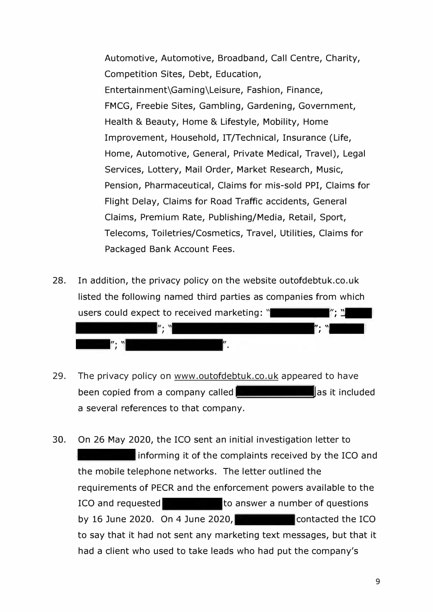**Automotive, Automotive, Broadband, Call Centre, Charity, Competition Sites, Debt, Education, Entertainment\Gaming\Leisure, Fashion, Finance, FMCG, Freebie Sites, Gambling, Gardening, Government, Health & Beauty, Home & Lifestyle, Mobility, Home Improvement, Household, IT/Technical, Insurance (Life, Home, Automotive, General, Private Medical, Travel), Legal Services, Lottery, Mail Order, Market Research, Music, Pension, Pharmaceutical, Claims for mis-sold PPI, Claims for Flight Delay, Claims for Road Traffic accidents, General Claims, Premium Rate, Publishing/Media, Retail, Sport, Telecoms, Toiletries/Cosmetics, Travel, Utilities, Claims for Packaged Bank Account Fees.** 

**28. In addition, the privacy policy on the website [outofdebtuk.co.uk](https://outofdebtuk.co.uk)  listed the following named third parties as companies from which users could expect to received marketing: "** ll;  $\mathbf{v}$ 



- **29. The privacy policy on <www.outofdebtuk.co.uk> appeared to have been copied from a company called <b>and a** as it included **a several references to that company.**
- **30. On 26 May 2020, the ICO sent an initial investigation letter to informing it of the complaints received by the ICO and the mobile telephone networks. The letter outlined the requirements of PECR and the enforcement powers available to the ICO and requested to answer a number of questions** by 16 June 2020. On 4 June 2020, **contacted the ICO to say that it had not sent any marketing text messages, but that it had a client who used to take leads who had put the company's**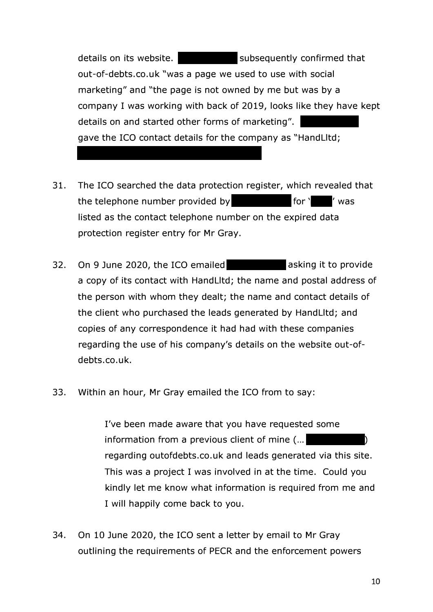details on its website. **Subsequently confirmed that [out-of-debts.co.uk](https://out-of-debts.co.uk) "was a page we used to use with social marketing" and "the page is not owned by me but was by a company I was working with back of 2019, looks like they have kept details on and started other forms of marketing". gave the ICO contact details for the company as "Handlltd;** 

- **31. The ICO searched the data protection register, which revealed that**  the telephone number provided by **the telephone** number provided by **listed as the contact telephone number on the expired data protection register entry for Mr Gray.**
- **32. On 9 June 2020, the ICO emailed asking it to provide a copy of its contact with Handlltd; the name and postal address of the person with whom they dealt; the name and contact details of the client who purchased the leads generated by Handlltd; and copies of any correspondence it had had with these companies regarding the use of his company's details on the website out-of[debts.co.uk](https://debts.co.uk).**
- **33. Within an hour, Mr Gray emailed the ICO from to say:**

**I've been made aware that you have requested some information from a previous client of mine (... regarding [outofdebts.co.uk](https://outofdebts.co.uk) and leads generated via this site. This was a project I was involved in at the time. Could you kindly let me know what information is required from me and I will happily come back to you. )** 

**34. On 10 June 2020, the ICO sent a letter by email to Mr Gray outlining the requirements of PECR and the enforcement powers**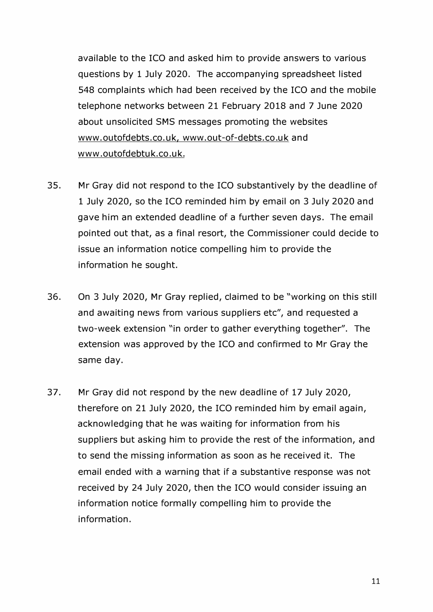**available to the ICO and asked him to provide answers to various questions by 1 July 2020. The accompanying spreadsheet listed 548 complaints which had been received by the ICO and the mobile telephone networks between 21 February 2018 and 7 June 2020 about unsolicited SMS messages promoting the websites [www.outofdebts.co.uk,](www.outofdebts.co.uk) <www.out-of-debts.co.uk> and www. outofdebtu k. co. u k.** 

- **35. Mr Gray did not respond to the ICO substantively by the deadline of 1 July 2020, so the ICO reminded him by email on 3 July 2020 and gave him an extended deadline of a further seven days. The email pointed out that, as a final resort, the Commissioner could decide to issue an information notice compelling him to provide the information he sought.**
- **36. On 3 July 2020, Mr Gray replied, claimed to be "working on this still and awaiting news from various suppliers etc", and requested a two-week extension "in order to gather everything together". The extension was approved by the ICO and confirmed to Mr Gray the same day.**
- **37. Mr Gray did not respond by the new deadline of 17 July 2020, therefore on 21 July 2020, the ICO reminded him by email again, acknowledging that he was waiting for information from his suppliers but asking him to provide the rest of the information, and to send the missing information as soon as he received it. The email ended with a warning that if a substantive response was not received by 24 July 2020, then the ICO would consider issuing an information notice formally compelling him to provide the information.**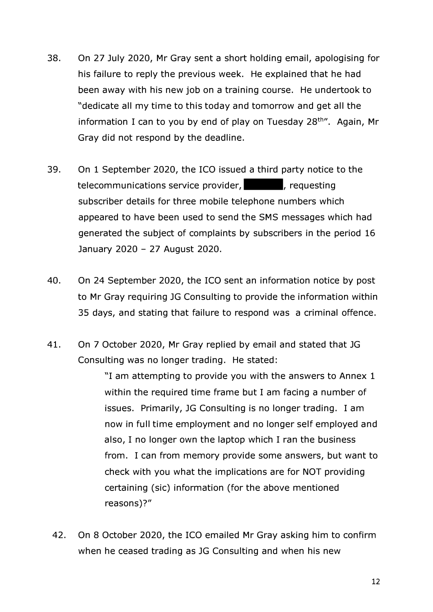- **38. On 27 July 2020, Mr Gray sent a short holding email, apologising for his failure to reply the previous week. He explained that he had been away with his new job on a training course. He undertook to "dedicate all my time to this today and tomorrow and get all the information I can to you by end of play on Tuesday 28**th". **Again, Mr Gray did not respond by the deadline.**
- **39. On 1 September 2020, the ICO issued a third party notice to the telecommunications service provider,\_, requesting subscriber details for three mobile telephone numbers which appeared to have been used to send the SMS messages which had generated the subject of complaints by subscribers in the period 16 January 2020 - 27 August 2020.**
- **40. On 24 September 2020, the ICO sent an information notice by post to Mr Gray requiring JG Consulting to provide the information within 35 days, and stating that failure to respond was a criminal offence.**
- **41. On 7 October 2020, Mr Gray replied by email and stated that JG Consulting was no longer trading. He stated:**

**"I am attempting to provide you with the answers to Annex 1 within the required time frame but I am facing a number of issues. Primarily, JG Consulting is no longer trading. I am now in full time employment and no longer self employed and also, I no longer own the laptop which I ran the business from. I can from memory provide some answers, but want to check with you what the implications are for NOT providing certaining (sic) information (for the above mentioned reasons)?"** 

**42. On 8 October 2020, the ICO emailed Mr Gray asking him to confirm when he ceased trading as JG Consulting and when his new**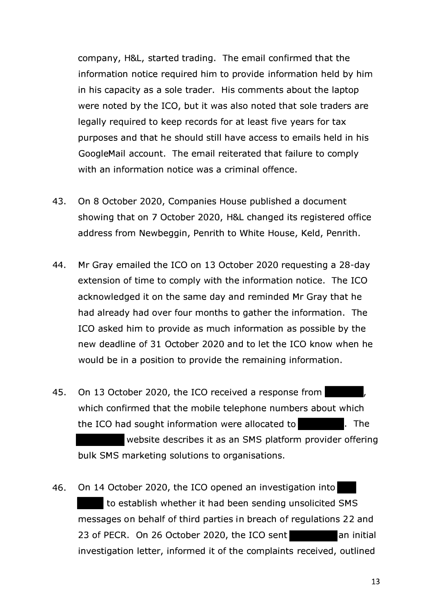**company, H&L, started trading. The email confirmed that the information notice required him to provide information held by him in his capacity as a sole trader. His comments about the laptop were noted by the ICO, but it was also noted that sole traders are legally required to keep records for at least five years for tax purposes and that he should still have access to emails held in his GoogleMail account. The email reiterated that failure to comply with an information notice was a criminal offence.** 

- **43. On 8 October 2020, Companies House published a document showing that on 7 October 2020, H&L changed its registered office address from Newbeggin, Penrith to White House, Keld, Penrith.**
- **44. Mr Gray emailed the ICO on 13 October 2020 requesting a 28-day extension of time to comply with the information notice. The ICO acknowledged it on the same day and reminded Mr Gray that he had already had over four months to gather the information. The ICO asked him to provide as much information as possible by the new deadline of 31 October 2020 and to let the ICO know when he would be in a position to provide the remaining information.**
- 45. On 13 October 2020, the ICO received a response from **which confirmed that the mobile telephone numbers about which the ICO had sought information were allocated to . The website describes it as an SMS platform provider offering bulk SMS marketing solutions to organisations.**
- **46. On 14 October 2020, the ICO opened an investigation into to establish whether it had been sending unsolicited SMS messages on behalf of third parties in breach of regulations 22 and**  23 of PECR. On 26 October 2020, the ICO sent an initial **investigation letter, informed it of the complaints received, outlined**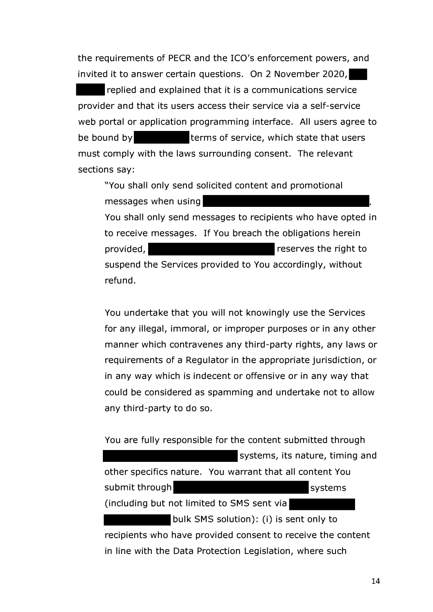**the requirements of PECR and the ICO's enforcement powers, and invited it to answer certain questions. On 2 November 2020,. -replied and explained that it is a communications service provider and that its users access their service via a self-service web portal or application programming interface. All users agree to**  be bound by **terms of service, which state that users must comply with the laws surrounding consent. The relevant sections say:** 

**provided, "You shall only send solicited content and promotional messages when using You shall only send messages to recipients who have opted in to receive messages. If You breach the obligations herein reserves the right to suspend the Services provided to You accordingly, without refund.** 

**You undertake that you will not knowingly use the Services for any illegal, immoral, or improper purposes or in any other manner which contravenes any third-party rights, any laws or requirements of a Regulator in the appropriate jurisdiction, or in any way which is indecent or offensive or in any way that could be considered as spamming and undertake not to allow any third-party to do so.** 

**You are fully responsible for the content submitted through systems, its nature, timing and other specifics nature. You warrant that all content You submit through**  systems **(including but not limited to SMS sent via bulk SMS solution): (i) is sent only to recipients who have provided consent to receive the content in line with the Data Protection Legislation, where such**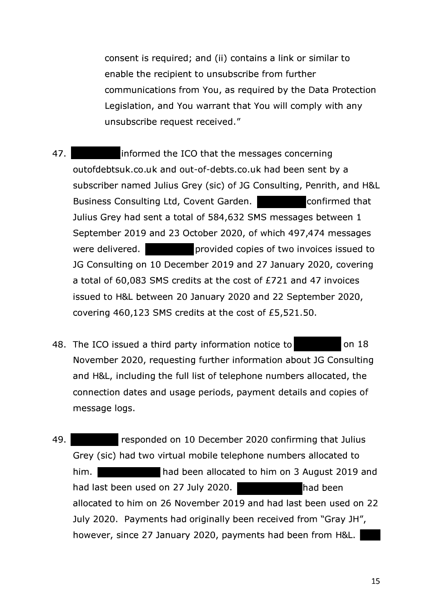**consent is required; and (ii) contains a link or similar to enable the recipient to unsubscribe from further communications from You, as required by the Data Protection Legislation, and You warrant that You will comply with any unsubscribe request received."** 

- **47. informed the ICO that the messages concerning [outofdebtsuk.co.uk](https://outofdebtsuk.co.uk) and [out-of-debts.co.uk](https://out-of-debts.co.uk) had been sent by a subscriber named Julius Grey (sic) of JG Consulting, Penrith, and H&L**  Business Consulting Ltd, Covent Garden. **Example 20 confirmed that Julius Grey had sent a total of 584,632 SMS messages between 1 September 2019 and 23 October 2020, of which 497,474 messages were delivered. provided copies of two invoices issued to JG Consulting on 10 December 2019 and 27 January 2020, covering a total of 60,083 SMS credits at the cost of £721 and 47 invoices issued to H&L between 20 January 2020 and 22 September 2020, covering 460,123 SMS credits at the cost of [£5,521.50.](https://5,521.50)**
- **48. The ICO issued a third party information notice to on 18 November 2020, requesting further information about JG Consulting and H&L, including the full list of telephone numbers allocated, the connection dates and usage periods, payment details and copies of message logs.**
- **49. Grey (sic) had two virtual mobile telephone numbers allocated to him. had been allocated to him on 3 August 2019 and responded on 10 December 2020 confirming that Julius**  had last been used on 27 July 2020. **allocated to him on 26 November 2019 and had last been used on 22 July 2020. Payments had originally been received from "Gray JH", however, since 27 January 2020, payments had been from H&L. -**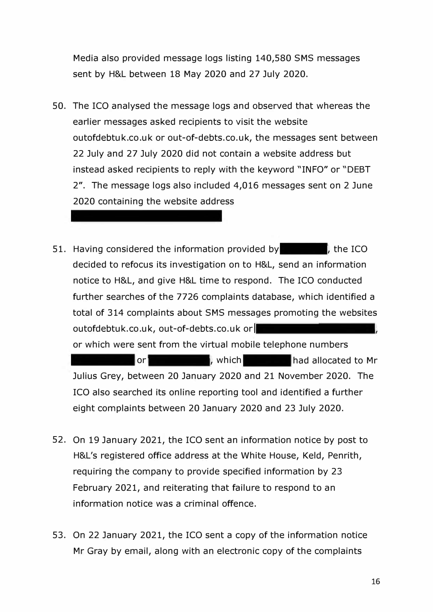**Media also provided message logs listing 140,580 SMS messages sent by H&L between 18 May 2020 and 27 July 2020.** 

- **50. The ICO analysed the message logs and observed that whereas the earlier messages asked recipients to visit the website [outofdebtuk.co.uk](https://outofdebtuk.co.uk) or [out-of-debts.co.uk,](https://out-of-debts.co.uk) the messages sent between 22 July and 27 July 2020 did not contain a website address but instead asked recipients to reply with the keyword "INFO" or "DEBT 2". The message logs also included 4,016 messages sent on 2 June 2020 containing the website address**
- **51. Having considered the information provided by , the ICO decided to refocus its investigation on to H&L, send an information notice to H&L, and give H&L time to respond. The ICO conducted further searches of the 7726 complaints database, which identified a total of 314 complaints about SMS messages promoting the websites [outofdebtuk.co.uk](https://outofdebtuk.co.uk), [out-of-debts.co.uk](https://out-of-debts.co.uk) orl or which were sent from the virtual mobile telephone numbers or had allocated to Mr <b>b had allocated to Mr Julius Grey, between 20 January 2020 and 21 November 2020. The ICO also searched its online reporting tool and identified a further eight complaints between 20 January 2020 and 23 July 2020.**
- **52. On 19 January 2021, the ICO sent an information notice by post to H&L's registered office address at the White House, Keld, Penrith, requiring the company to provide specified information by 23 February 2021, and reiterating that failure to respond to an information notice was a criminal offence.**
- **53. On 22 January 2021, the ICO sent a copy of the information notice Mr Gray by email, along with an electronic copy of the complaints**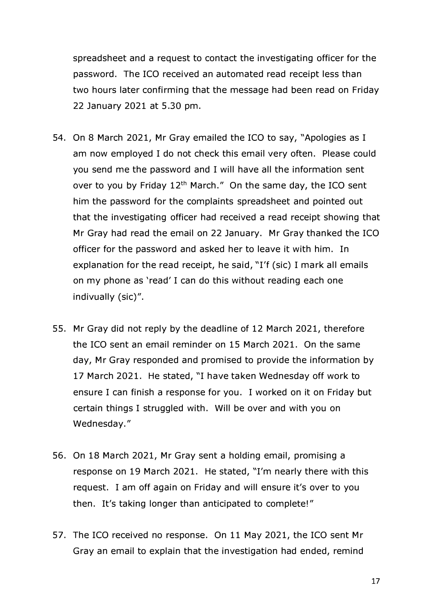**spreadsheet and a request to contact the investigating officer for the password. The ICO received an automated read receipt less than two hours later confirming that the message had been read on Friday 22 January 2021 at 5.30 pm.** 

- **54. On 8 March 2021, Mr Gray emailed the ICO to say, "Apologies as I am now employed I do not check this email very often. Please could you send me the password and I will have all the information sent over to you by Friday 12**th **March." On the same day, the ICO sent him the password for the complaints spreadsheet and pointed out that the investigating officer had received a read receipt showing that Mr Gray had read the email on 22 January. Mr Gray thanked the ICO officer for the password and asked her to leave it with him. In explanation for the read receipt, he said, "I'f (sic) I mark all emails on my phone as 'read' I can do this without reading each one indivually (sic)".**
- **55. Mr Gray did not reply by the deadline of 12 March 2021, therefore the ICO sent an email reminder on 15 March 2021. On the same day, Mr Gray responded and promised to provide the information by 17 March 2021. He stated, "I have taken Wednesday off work to ensure I can finish a response for you. I worked on it on Friday but certain things I struggled with. Will be over and with you on Wednesday. "**
- **56. On 18 March 2021, Mr Gray sent a holding email, promising a response on 19 March 2021. He stated, "I'm nearly there with this request. I am off again on Friday and will ensure it's over to you then. It's taking longer than anticipated to complete! "**
- **57. The ICO received no response. On 11 May 2021, the ICO sent Mr Gray an email to explain that the investigation had ended, remind**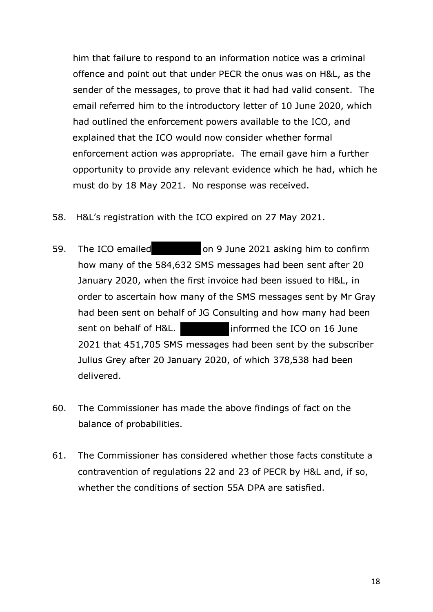**him that failure to respond to an information notice was a criminal offence and point out that under PECR the onus was on H&L, as the sender of the messages, to prove that it had had valid consent. The email referred him to the introductory letter of 10 June 2020, which had outlined the enforcement powers available to the ICO, and explained that the ICO would now consider whether formal enforcement action was appropriate. The email gave him a further opportunity to provide any relevant evidence which he had, which he must do by 18 May 2021. No response was received.** 

- **58. H&L's registration with the ICO expired on 27 May 2021.**
- **59. The ICO emailed on 9 June 2021 asking him to confirm how many of the 584,632 SMS messages had been sent after 20 January 2020, when the first invoice had been issued to H&L, in order to ascertain how many of the SMS messages sent by Mr Gray had been sent on behalf of JG Consulting and how many had been sent on behalf of H&L. informed the ICO on 16 June 2021 that 451,705 SMS messages had been sent by the subscriber Julius Grey after 20 January 2020, of which 378,538 had been delivered.**
- **60. The Commissioner has made the above findings of fact on the balance of probabilities.**
- **61. The Commissioner has considered whether those facts constitute a contravention of regulations 22 and 23 of PECR by H&L and, if so, whether the conditions of section SSA DPA are satisfied.**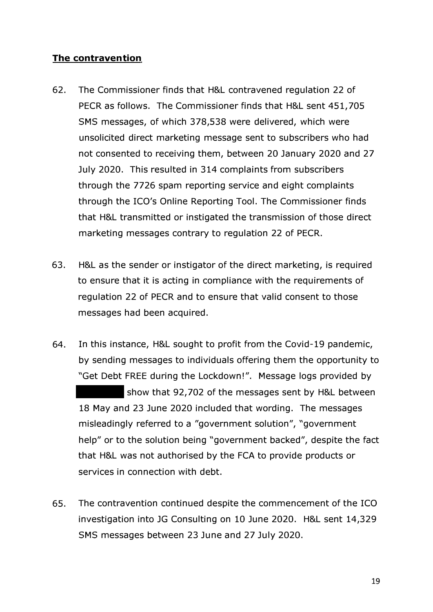## **The contravention**

- **62. The Commissioner finds that H&L contravened regulation 22 of PECR as follows. The Commissioner finds that H&L sent 451,705 SMS messages, of which 378,538 were delivered, which were unsolicited direct marketing message sent to subscribers who had not consented to receiving them, between 20 January 2020 and 27 July 2020. This resulted in 314 complaints from subscribers through the 7726 spam reporting service and eight complaints through the ICO's Online Reporting Tool. The Commissioner finds that H&L transmitted or instigated the transmission of those direct marketing messages contrary to regulation 22 of PECR.**
- **63. H&L as the sender or instigator of the direct marketing, is required to ensure that it is acting in compliance with the requirements of regulation 22 of PECR and to ensure that valid consent to those messages had been acquired.**
- **64. In this instance, H&L sought to profit from the Covid-19 pandemic, by sending messages to individuals offering them the opportunity to "Get Debt FREE during the Lockdown! ". Message logs provided by show that 92,702 of the messages sent by H&L between 18 May and 23 June 2020 included that wording. The messages misleadingly referred to a "government solution", "government help" or to the solution being "government backed", despite the fact that H&L was not authorised by the FCA to provide products or services in connection with debt.**
- **65. The contravention continued despite the commencement of the ICO investigation into JG Consulting on 10 June 2020. H&L sent 14,329 SMS messages between 23 June and 27 July 2020.**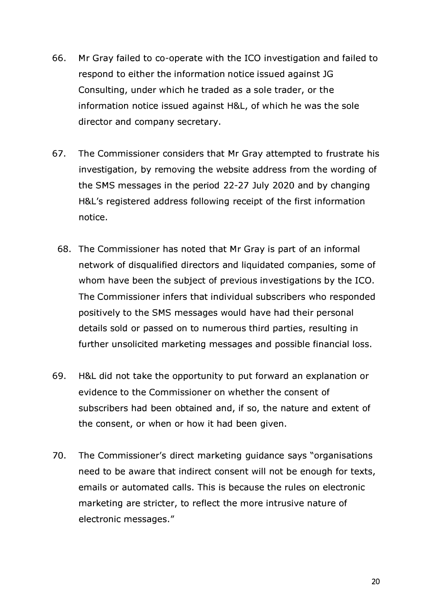- **66. Mr Gray failed to co-operate with the ICO investigation and failed to respond to either the information notice issued against JG Consulting, under which he traded as a sole trader, or the information notice issued against H&L, of which he was the sole director and company secretary.**
- **67. The Commissioner considers that Mr Gray attempted to frustrate his investigation, by removing the website address from the wording of the SMS messages in the period 22-27 July 2020 and by changing H&L's registered address following receipt of the first information notice.** 
	- **68. The Commissioner has noted that Mr Gray is part of an informal network of disqualified directors and liquidated companies, some of whom have been the subject of previous investigations by the ICO. The Commissioner infers that individual subscribers who responded positively to the SMS messages would have had their personal details sold or passed on to numerous third parties, resulting in further unsolicited marketing messages and possible financial loss.**
- **69. H&L did not take the opportunity to put forward an explanation or evidence to the Commissioner on whether the consent of subscribers had been obtained and, if so, the nature and extent of the consent, or when or how it had been given.**
- **70. The Commissioner's direct marketing guidance says "organisations need to be aware that indirect consent will not be enough for texts, emails or automated calls. This is because the rules on electronic marketing are stricter, to reflect the more intrusive nature of electronic messages."**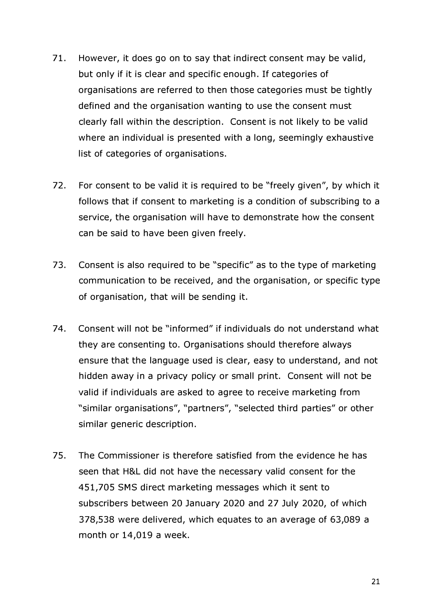- **71. However, it does go on to say that indirect consent may be valid, but only if it is clear and specific enough. If categories of organisations are referred to then those categories must be tightly defined and the organisation wanting to use the consent must clearly fall within the description. Consent is not likely to be valid where an individual is presented with a long, seemingly exhaustive list of categories of organisations.**
- **72. For consent to be valid it is required to be "freely given", by which it follows that if consent to marketing is a condition of subscribing to a service, the organisation will have to demonstrate how the consent can be said to have been given freely.**
- **73. Consent is also required to be "specific" as to the type of marketing communication to be received, and the organisation, or specific type of organisation, that will be sending it.**
- **74. Consent will not be "informed" if individuals do not understand what they are consenting to. Organisations should therefore always ensure that the language used is clear, easy to understand, and not hidden away in a privacy policy or small print. Consent will not be valid if individuals are asked to agree to receive marketing from "similar organisations", "partners", "selected third parties" or other similar generic description.**
- **75. The Commissioner is therefore satisfied from the evidence he has seen that H&L did not have the necessary valid consent for the 451,705 SMS direct marketing messages which it sent to subscribers between 20 January 2020 and 27 July 2020, of which 378,538 were delivered, which equates to an average of 63,089 a month or 14,019 a week.**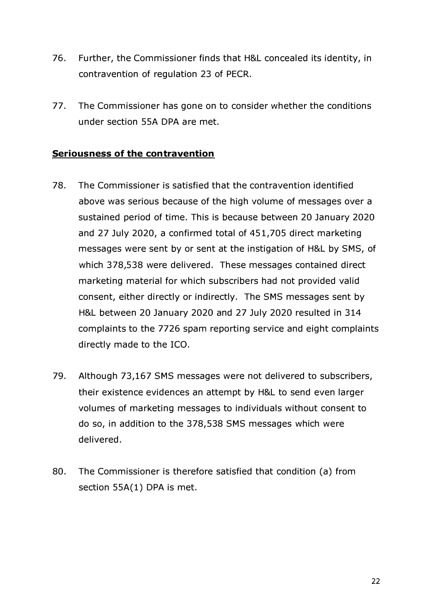- **76. Further, the Commissioner finds that H&L concealed its identity, in contravention of regulation 23 of PECR.**
- **77. The Commissioner has gone on to consider whether the conditions under section SSA DPA are met.**

## **Seriousness of the contravention**

- **78. The Commissioner is satisfied that the contravention identified above was serious because of the high volume of messages over a sustained period of time. This is because between 20 January 2020 and 27 July 2020, a confirmed total of 4S1,70S direct marketing messages were sent by or sent at the instigation of H&L by SMS, of which 378,S38 were delivered. These messages contained direct marketing material for which subscribers had not provided valid consent, either directly or indirectly. The SMS messages sent by H&L between 20 January 2020 and 27 July 2020 resulted in 314 complaints to the 7726 spam reporting service and eight complaints directly made to the ICO.**
- **79. Although 73,167 SMS messages were not delivered to subscribers, their existence evidences an attempt by H&L to send even larger volumes of marketing messages to individuals without consent to do so, in addition to the 378,S38 SMS messages which were delivered.**
- **80. The Commissioner is therefore satisfied that condition (a) from**  section 55A(1) DPA is met.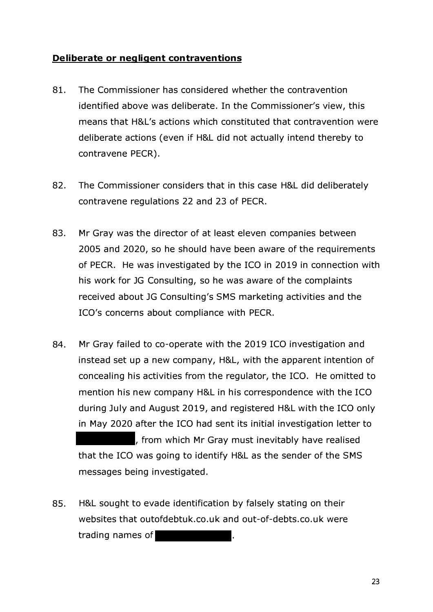#### **Deliberate or negligent contraventions**

- **81. The Commissioner has considered whether the contravention identified above was deliberate. In the Commissioner's view, this means that H&L's actions which constituted that contravention were deliberate actions ( even if H&L did not actually intend thereby to contravene PECR).**
- **82. The Commissioner considers that in this case H&L did deliberately contravene regulations 22 and 23 of PECR.**
- **83. Mr Gray was the director of at least eleven companies between 2005 and 2020, so he should have been aware of the requirements of PECR. He was investigated by the ICO in 2019 in connection with his work for JG Consulting, so he was aware of the complaints received about JG Consulting's SMS marketing activities and the ICO's concerns about compliance with PECR.**
- **84. Mr Gray failed to co-operate with the 2019 ICO investigation and instead set up a new company, H&L, with the apparent intention of concealing his activities from the regulator, the ICO. He omitted to mention his new company H&L in his correspondence with the ICO during July and August 2019, and registered H&L with the ICO only in May 2020 after the ICO had sent its initial investigation letter to , from which Mr Gray must inevitably have realised that the ICO was going to identify H&L as the sender of the SMS messages being investigated.**
- **85. H&L sought to evade identification by falsely stating on their websites that [outofdebtuk.co.uk](https://outofdebtuk.co.uk) and [out-of-debts.co.uk](https://out-of-debts.co.uk) were trading names of**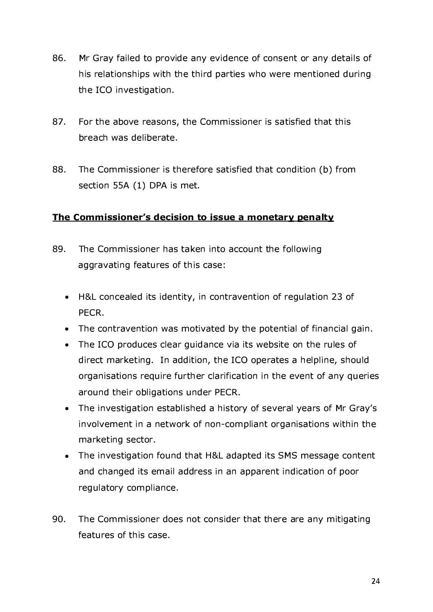- 86. Mr Gray failed to provide any evidence of consent or any details of his relationships with the third parties who were mentioned during the ICO investigation.
- **87. For the above reasons, the Commissioner is satisfied that this breach was deliberate.**
- **88. The Commissioner is therefore satisfied that condition (b) from section SSA (1) DPA is met.**

# The Commissioner's decision to issue a monetary penalty

- 89. The Commissioner has taken into account the following **aggravati ng features of this case:** 
	- **H &L concealed its identity, in contravention of regulation 23 of PECR.**
	- The contravention was motivated by the potential of financial gain.
	- **The ICO produces clear guidance via its website on the rules of**  direct marketing. In addition, the ICO operates a helpline, should **organisations require further clarification in the event of any queries** around their obligations under PECR.
	- The investigation established a history of several years of Mr Gray's involvement in a network of non-compliant organisations within the **marketing sector.**
	- The investigation found that H&L adapted its SMS message content **and changed its emai l address in an apparent i ndication of poor regulatory compliance.**
- **90. The Commissioner does not consider that there are any mitigating features of this case.**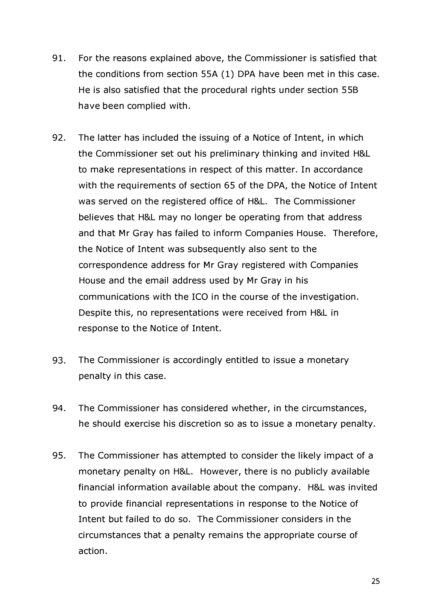- **91. For the reasons explained above, the Commissioner is satisfied that the conditions from section SSA (1) DPA have been met in this case. He is also satisfied that the procedural rights under section 55B have been complied with.**
- **92. The latter has included the issuing of a Notice of Intent, in which the Commissioner set out his preliminary thinking and invited H&L to make representations in respect of this matter. In accordance with the requirements of section 65 of the DPA, the Notice of Intent was served on the registered office of H&L. The Commissioner believes that H&L may no longer be operating from that address and that Mr Gray has failed to inform Companies House. Therefore, the Notice of Intent was subsequently also sent to the correspondence address for Mr Gray registered with Companies House and the email address used by Mr Gray in his communications with the ICO in the course of the investigation. Despite this, no representations were received from H&L in response to the Notice of Intent.**
- **93. The Commissioner is accordingly entitled to issue a monetary penalty in this case.**
- **94. The Commissioner has considered whether, in the circumstances, he should exercise his discretion so as to issue a monetary penalty.**
- **95. The Commissioner has attempted to consider the likely impact of a monetary penalty on H&L. However, there is no publicly available financial information available about the company. H&L was invited to provide financial representations in response to the Notice of Intent but failed to do so. The Commissioner considers in the circumstances that a penalty remains the appropriate course of action.**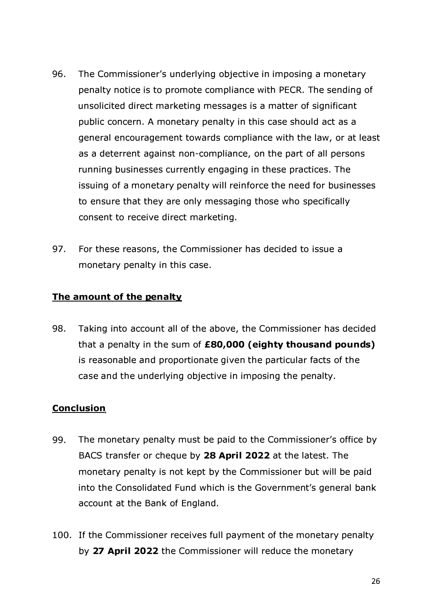- **96. The Commissioner's underlying objective in imposing a monetary penalty notice is to promote compliance with PECR. The sending of unsolicited direct marketing messages is a matter of significant public concern. A monetary penalty in this case should act as a general encouragement towards compliance with the law, or at least as a deterrent against non-compliance, on the part of all persons running businesses currently engaging in these practices. The issuing of a monetary penalty will reinforce the need for businesses to ensure that they are only messaging those who specifically consent to receive direct marketing.**
- **97. For these reasons, the Commissioner has decided to issue a monetary penalty in this case.**

# **The amount of the penalty**

**98. Taking into account all of the above, the Commissioner has decided that a penalty in the sum of £80,000 ( eighty thousand pounds) is reasonable and proportionate given the particular facts of the case and the underlying objective in imposing the penalty.** 

# **Conclusion**

- **99. The monetary penalty must be paid to the Commissioner's office by BACS transfer or cheque by 28 April 2022 at the latest. The monetary penalty is not kept by the Commissioner but will be paid into the Consolidated Fund which is the Government's general bank account at the Bank of England.**
- **100. If the Commissioner receives full payment of the monetary penalty by 27 April 2022 the Commissioner will reduce the monetary**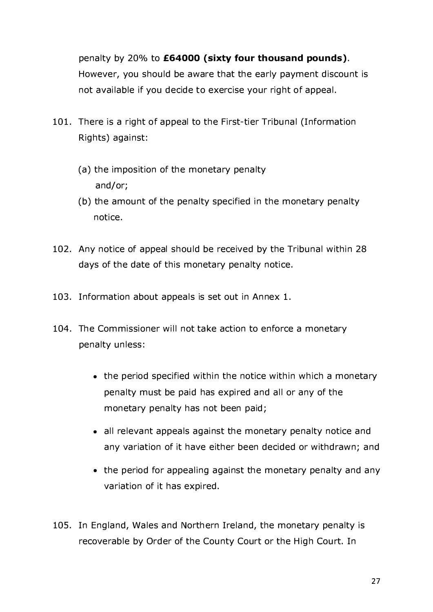**penalty by 20% to £64000 (sixty four thousand pounds). However, you should be aware that the early payment discount is not avai lable if you decide to exercise your right of appeal.** 

- **101. There is a right of appeal to the First-tier Tribunal (Information**   $Right's$ ) against:
	- **(a) the imposition of the monetary penalty and/or;**
	- **(b) the amount of the penalty specified in the monetary penalty notice.**
- **102.** Any notice of appeal should be received by the Tribunal within 28 **days of the date of this monetary penalty notice.**
- **103.** Information about appeals is set out in Annex 1.
- **104. The Commissioner will not take action to enforce a monetary penalty unless:** 
	- the period specified within the notice within which a monetary **penalty must be paid has expired and all or any of the monetary penalty has not been paid;**
	- all relevant appeals against the monetary penalty notice and **any variation of it have either been decided or withdrawn; and**
	- the period for appealing against the monetary penalty and any **variation of it has expired.**
- **105. In England, Wales and Northern Ireland, the monetary penalty is recoverable by Order of the County Court or the High Court. In**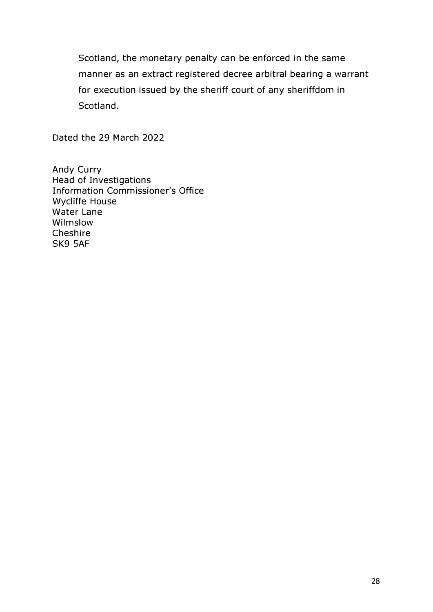**Scotland, the monetary penalty can be enforced in the same manner as an extract registered decree arbitral bearing a warrant for execution issued by the sheriff court of any sheriffdom in Scotland.** 

**Dated the 29 March 2022** 

**Andy Curry Head of Investigations Information Commissioner's Office Wycliffe House Water Lane Wilmslow Cheshire SK9 SAF**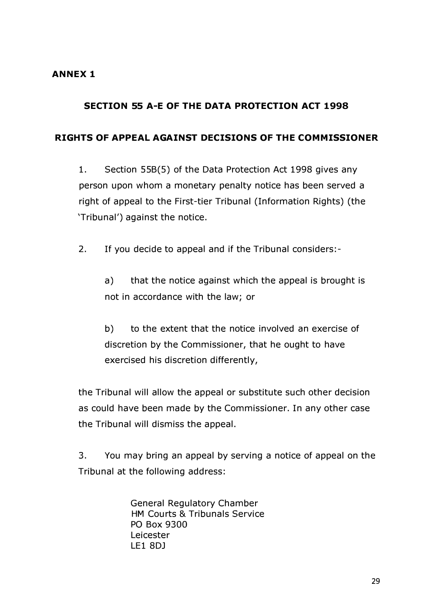#### **ANNEX 1**

### **SECTION 55 A-E OF THE DATA PROTECTION ACT 1998**

#### **RIGHTS OF APPEAL AGAINST DECISIONS OF THE COMMISSIONER**

**1. Section 55B(S) of the Data Protection Act 1998 gives any person upon whom a monetary penalty notice has been served a right of appeal to the First-tier Tribunal (Information Rights) (the 'Tribunal') against the notice.** 

**2. If you decide to appeal and if the Tribunal considers: -**

**a) that the notice against which the appeal is brought is not in accordance with the law; or** 

**b) to the extent that the notice involved an exercise of discretion by the Commissioner, that he ought to have exercised his discretion differently,** 

**the Tribunal will allow the appeal or substitute such other decision as could have been made by the Commissioner. In any other case the Tribunal will dismiss the appeal.** 

**3. You may bring an appeal by serving a notice of appeal on the Tribunal at the following address:** 

> **General Regulatory Chamber HM Courts & Tribunals Service PO Box 9300 Leicester LE1 8DJ**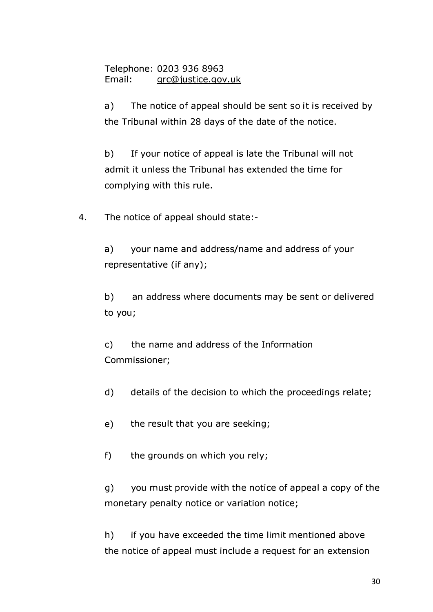**Telephone: 0203 936 8963 Email: grc@justice.gov.uk** 

**a) The notice of appeal should be sent so it is received by the Tribunal within 28 days of the date of the notice.** 

**b) If your notice of appeal is late the Tribunal will not admit it unless the Tribunal has extended the time for complying with this rule.** 

**4. The notice of appeal should state: -**

**a) your name and address/name and address of your representative (if any);** 

**b) an address where documents may be sent or delivered to you;** 

**c) the name and address of the Information Commissioner;** 

**d) details of the decision to which the proceedings relate;** 

**e) the result that you are seeking;** 

**f) the grounds on which you rely;** 

**g) you must provide with the notice of appeal a copy of the monetary penalty notice or variation notice;** 

**h) if you have exceeded the time limit mentioned above the notice of appeal must include a request for an extension**